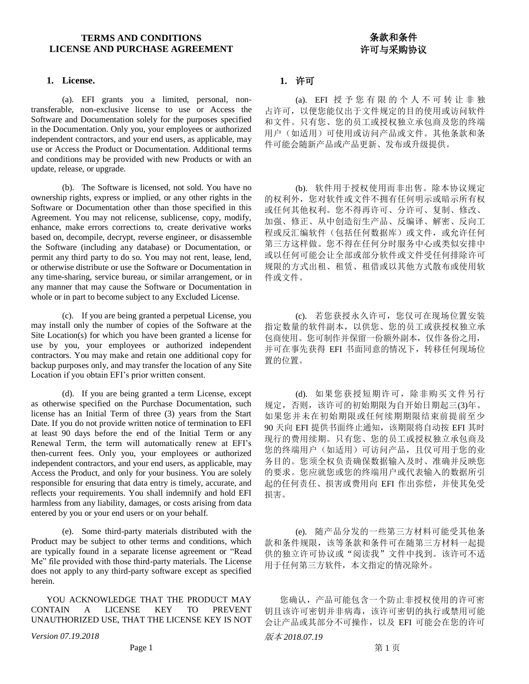# **TERMS AND CONDITIONS LICENSE AND PURCHASE AGREEMENT**

# **1. License. 1.** 许可

(a). EFI grants you a limited, personal, nontransferable, non-exclusive license to use or Access the Software and Documentation solely for the purposes specified in the Documentation. Only you, your employees or authorized independent contractors, and your end users, as applicable, may use or Access the Product or Documentation. Additional terms and conditions may be provided with new Products or with an update, release, or upgrade.

(b). The Software is licensed, not sold. You have no ownership rights, express or implied, or any other rights in the Software or Documentation other than those specified in this Agreement. You may not relicense, sublicense, copy, modify, enhance, make errors corrections to, create derivative works based on, decompile, decrypt, reverse engineer, or disassemble the Software (including any database) or Documentation, or permit any third party to do so. You may not rent, lease, lend, or otherwise distribute or use the Software or Documentation in any time-sharing, service bureau, or similar arrangement, or in any manner that may cause the Software or Documentation in whole or in part to become subject to any Excluded License.

(c). If you are being granted a perpetual License, you may install only the number of copies of the Software at the Site Location(s) for which you have been granted a license for use by you, your employees or authorized independent contractors. You may make and retain one additional copy for backup purposes only, and may transfer the location of any Site Location if you obtain EFI's prior written consent.

(d). If you are being granted a term License, except as otherwise specified on the Purchase Documentation, such license has an Initial Term of three (3) years from the Start Date. If you do not provide written notice of termination to EFI at least 90 days before the end of the Initial Term or any Renewal Term, the term will automatically renew at EFI's then-current fees. Only you, your employees or authorized independent contractors, and your end users, as applicable, may Access the Product, and only for your business. You are solely responsible for ensuring that data entry is timely, accurate, and reflects your requirements. You shall indemnify and hold EFI harmless from any liability, damages, or costs arising from data entered by you or your end users or on your behalf.

(e). Some third-party materials distributed with the Product may be subject to other terms and conditions, which are typically found in a separate license agreement or "Read Me" file provided with those third-party materials. The License does not apply to any third-party software except as specified herein.

YOU ACKNOWLEDGE THAT THE PRODUCT MAY CONTAIN A LICENSE KEY TO PREVENT UNAUTHORIZED USE, THAT THE LICENSE KEY IS NOT

 $Version 07.19.2018$  and the contraction of the contraction of the contraction of the contraction of the contraction of the contraction of the contraction of the contraction of the contraction of the contraction of the contract

(a). EFI 授予您有限的个人不可转让非独 占许可,以便您能仅出于文件规定的目的使用或访问软件 和文件。只有您、您的员工或授权独立承包商及您的终端 用户(如适用)可使用或访问产品或文件。其他条款和条 件可能会随新产品或产品更新、发布或升级提供。

条款和条件 许可与采购协议

(b). 软件用于授权使用而非出售。除本协议规定 的权利外,您对软件或文件不拥有任何明示或暗示所有权 或任何其他权利。您不得再许可、分许可、复制、修改、 加强、修正、从中创造衍生产品、反编译、解密、反向工 程或反汇编软件(包括任何数据库)或文件,或允许任何 第三方这样做。您不得在任何分时服务中心或类似安排中 或以任何可能会让全部或部分软件或文件受任何排除许可 规限的方式出租、租赁、租借或以其他方式散布或使用软 件或文件。

(c). 若您获授永久许可,您仅可在现场位置安装 指定数量的软件副本,以供您、您的员工或获授权独立承 包商使用。您可制作并保留一份额外副本,仅作备份之用, 并可在事先获得 EFI 书面同意的情况下,转移任何现场位 置的位置。

(d). 如果您获授短期许可,除非购买文件另行 规定,否则,该许可的初始期限为自开始日期起三(3)年。 如果您并未在初始期限或任何续期期限结束前提前至少 90 天向 EFI 提供书面终止通知,该期限将自动按 EFI 其时 现行的费用续期。只有您、您的员工或授权独立承包商及 您的终端用户(如适用)可访问产品,且仅可用于您的业 务目的。您须全权负责确保数据输入及时、准确并反映您 的要求。您应就您或您的终端用户或代表输入的数据所引 起的任何责任、损害或费用向 EFI 作出弥偿,并使其免受 损害。

(e). 随产品分发的一些第三方材料可能受其他条 款和条件规限,该等条款和条件可在随第三方材料一起提 供的独立许可协议或"阅读我"文件中找到。该许可不适 用于任何第三方软件,本文指定的情况除外。

您确认,产品可能包含一个防止非授权使用的许可密 钥且该许可密钥并非病毒,该许可密钥的执行或禁用可能 会让产品或其部分不可操作,以及 EFI 可能会在您的许可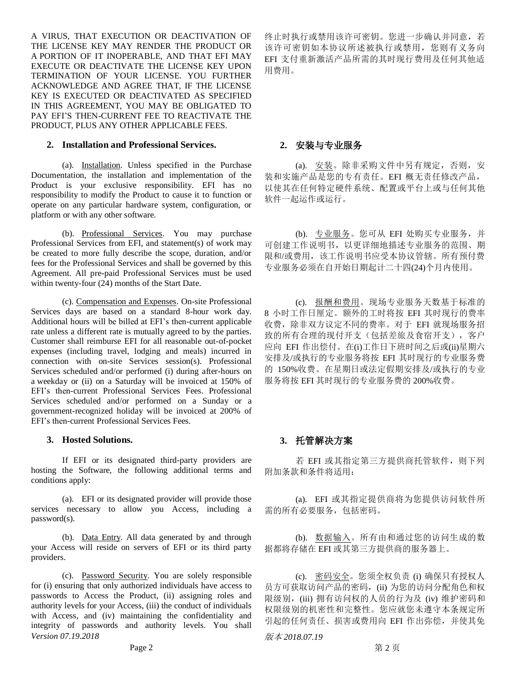A VIRUS, THAT EXECUTION OR DEACTIVATION OF THE LICENSE KEY MAY RENDER THE PRODUCT OR A PORTION OF IT INOPERABLE, AND THAT EFI MAY EXECUTE OR DEACTIVATE THE LICENSE KEY UPON TERMINATION OF YOUR LICENSE. YOU FURTHER ACKNOWLEDGE AND AGREE THAT, IF THE LICENSE KEY IS EXECUTED OR DEACTIVATED AS SPECIFIED IN THIS AGREEMENT, YOU MAY BE OBLIGATED TO PAY EFI'S THEN-CURRENT FEE TO REACTIVATE THE PRODUCT, PLUS ANY OTHER APPLICABLE FEES.

### **2. Installation and Professional Services. 2.** 安装与专业服务

(a). Installation. Unless specified in the Purchase Documentation, the installation and implementation of the Product is your exclusive responsibility. EFI has no responsibility to modify the Product to cause it to function or operate on any particular hardware system, configuration, or platform or with any other software.

(b). Professional Services. You may purchase Professional Services from EFI, and statement(s) of work may be created to more fully describe the scope, duration, and/or fees for the Professional Services and shall be governed by this Agreement. All pre-paid Professional Services must be used within twenty-four (24) months of the Start Date.

(c). Compensation and Expenses. On-site Professional Services days are based on a standard 8-hour work day. Additional hours will be billed at EFI's then-current applicable rate unless a different rate is mutually agreed to by the parties. Customer shall reimburse EFI for all reasonable out-of-pocket expenses (including travel, lodging and meals) incurred in connection with on-site Services session(s). Professional Services scheduled and/or performed (i) during after-hours on a weekday or (ii) on a Saturday will be invoiced at 150% of EFI's then-current Professional Services Fees. Professional Services scheduled and/or performed on a Sunday or a government-recognized holiday will be invoiced at 200% of EFI's then-current Professional Services Fees.

### **3. Hosted Solutions. 3.** 托管解决方案

If EFI or its designated third-party providers are hosting the Software, the following additional terms and conditions apply:

(a). EFI or its designated provider will provide those services necessary to allow you Access, including a password(s).

(b). Data Entry. All data generated by and through your Access will reside on servers of EFI or its third party providers.

*Version 07.19.2018* 版本 *2018.07.19* (c). Password Security. You are solely responsible for (i) ensuring that only authorized individuals have access to passwords to Access the Product, (ii) assigning roles and authority levels for your Access, (iii) the conduct of individuals with Access, and (iv) maintaining the confidentiality and integrity of passwords and authority levels. You shall

终止时执行或禁用该许可密钥。您进一步确认并同意,若 该许可密钥如本协议所述被执行或禁用,您则有义务向 EFI 支付重新激活产品所需的其时现行费用及任何其他适 用费用。

(a). 安装。除非采购文件中另有规定,否则,安 装和实施产品是您的专有责任。EFI 概无责任修改产品, 以使其在任何特定硬件系统、配置或平台上或与任何其他 软件一起运作或运行。

(b). 专业服务。您可从 EFI 处购买专业服务,并 可创建工作说明书,以更详细地描述专业服务的范围、期 限和/或费用,该工作说明书应受本协议管辖。所有预付费 专业服务必须在自开始日期起计二十四(24)个月内使用。

(c). 报酬和费用。现场专业服务天数基于标准的 8 小时工作日厘定。额外的工时将按 EFI 其时现行的费率 收费,除非双方议定不同的费率。对于 EFI 就现场服务招 致的所有合理的现付开支(包括差旅及食宿开支), 客户 应向 EFI 作出偿付。在(i)工作日下班时间之后或(ii)星期六 安排及/或执行的专业服务将按 EFI 其时现行的专业服务费 的 150%收费。在星期日或法定假期安排及/或执行的专业 服务将按 EFI 其时现行的专业服务费的 200%收费。

若 EFI 或其指定第三方提供商托管软件,则下列 附加条款和条件将适用:

(a). EFI 或其指定提供商将为您提供访问软件所 需的所有必要服务,包括密码。

(b). 数据输入。所有由和通过您的访问生成的数 据都将存储在 EFI 或其第三方提供商的服务器上。

(c). 密码安全。您须全权负责 (i) 确保只有授权人 员方可获取访问产品的密码,(ii) 为您的访问分配角色和权 限级别,(iii) 拥有访问权的人员的行为及(iv) 维护密码和 权限级别的机密性和完整性。您应就您未遵守本条规定所 引起的任何责任、损害或费用向 EFI 作出弥偿,并使其免

Page 2 and  $\hat{a}$   $\hat{b}$   $\hat{c}$   $\hat{c}$   $\hat{d}$   $\hat{d}$   $\hat{d}$   $\hat{d}$   $\hat{d}$   $\hat{d}$   $\hat{d}$   $\hat{d}$   $\hat{d}$   $\hat{d}$   $\hat{e}$   $\hat{d}$   $\hat{e}$   $\hat{d}$   $\hat{e}$   $\hat{e}$   $\hat{e}$   $\hat{e}$   $\hat{e}$   $\hat{e}$   $\hat{e}$   $\hat{e}$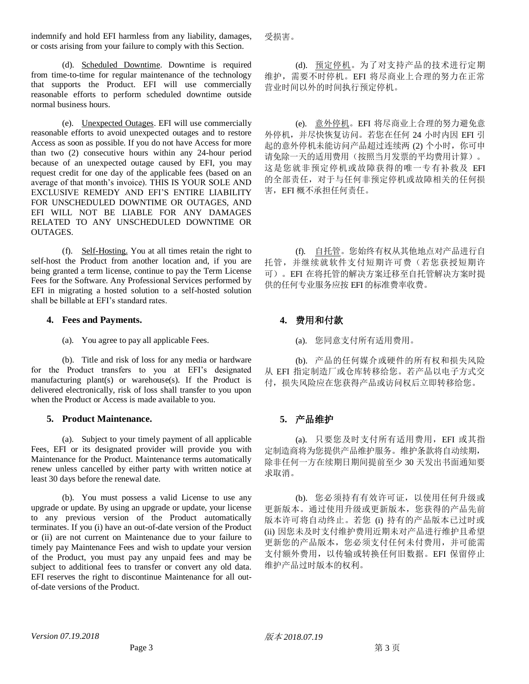indemnify and hold EFI harmless from any liability, damages, or costs arising from your failure to comply with this Section.

(d). Scheduled Downtime. Downtime is required from time-to-time for regular maintenance of the technology that supports the Product. EFI will use commercially reasonable efforts to perform scheduled downtime outside normal business hours.

(e). Unexpected Outages. EFI will use commercially reasonable efforts to avoid unexpected outages and to restore Access as soon as possible. If you do not have Access for more than two (2) consecutive hours within any 24-hour period because of an unexpected outage caused by EFI, you may request credit for one day of the applicable fees (based on an average of that month's invoice). THIS IS YOUR SOLE AND EXCLUSIVE REMEDY AND EFI'S ENTIRE LIABILITY FOR UNSCHEDULED DOWNTIME OR OUTAGES, AND EFI WILL NOT BE LIABLE FOR ANY DAMAGES RELATED TO ANY UNSCHEDULED DOWNTIME OR OUTAGES.

(f). Self-Hosting. You at all times retain the right to self-host the Product from another location and, if you are being granted a term license, continue to pay the Term License Fees for the Software. Any Professional Services performed by EFI in migrating a hosted solution to a self-hosted solution shall be billable at EFI's standard rates.

### **4. Fees and Payments. 4.** 费用和付款

(a). You agree to pay all applicable Fees. (a). 您同意支付所有适用费用。

(b). Title and risk of loss for any media or hardware for the Product transfers to you at EFI's designated manufacturing plant(s) or warehouse(s). If the Product is delivered electronically, risk of loss shall transfer to you upon when the Product or Access is made available to you.

## **5. Product Maintenance. 5.** 产品维护

(a). Subject to your timely payment of all applicable Fees, EFI or its designated provider will provide you with Maintenance for the Product. Maintenance terms automatically renew unless cancelled by either party with written notice at least 30 days before the renewal date.

(b). You must possess a valid License to use any upgrade or update. By using an upgrade or update, your license to any previous version of the Product automatically terminates. If you (i) have an out-of-date version of the Product or (ii) are not current on Maintenance due to your failure to timely pay Maintenance Fees and wish to update your version of the Product, you must pay any unpaid fees and may be subject to additional fees to transfer or convert any old data. EFI reserves the right to discontinue Maintenance for all outof-date versions of the Product.

受损害。

(d). 预定停机。为了对支持产品的技术进行定期 维护,需要不时停机。EFI 将尽商业上合理的努力在正常 营业时间以外的时间执行预定停机。

(e). 意外停机。EFI 将尽商业上合理的努力避免意 外停机,并尽快恢复访问。若您在任何 24 小时内因 EFI 引 起的意外停机未能访问产品超过连续两 (2) 个小时,你可申 请免除一天的适用费用(按照当月发票的平均费用计算)。 这是您就非预定停机或故障获得的唯一专有补救及 EFI 的全部责任,对于与任何非预定停机或故障相关的任何损 害,EFI 概不承担任何责任。

(f). 自托管。您始终有权从其他地点对产品进行自 托管,并继续就软件支付短期许可费(若您获授短期许 可)。EFI 在将托管的解决方案迁移至自托管解决方案时提 供的任何专业服务应按 EFI 的标准费率收费。

(b). 产品的任何媒介或硬件的所有权和损失风险 从 EFI 指定制造厂或仓库转移给您。若产品以电子方式交 付,损失风险应在您获得产品或访问权后立即转移给您。

(a). 只要您及时支付所有适用费用,EFI 或其指 定制造商将为您提供产品维护服务。维护条款将自动续期, 除非任何一方在续期日期间提前至少 30 天发出书面通知要 求取消。

(b). 您必须持有有效许可证,以使用任何升级或 更新版本。通过使用升级或更新版本,您获得的产品先前 版本许可将自动终止。若您 (i) 持有的产品版本已过时或 (ii) 因您未及时支付维护费用近期未对产品进行维护且希望 更新您的产品版本,您必须支付任何未付费用,并可能需 支付额外费用,以传输或转换任何旧数据。EFI 保留停止 维护产品过时版本的权利。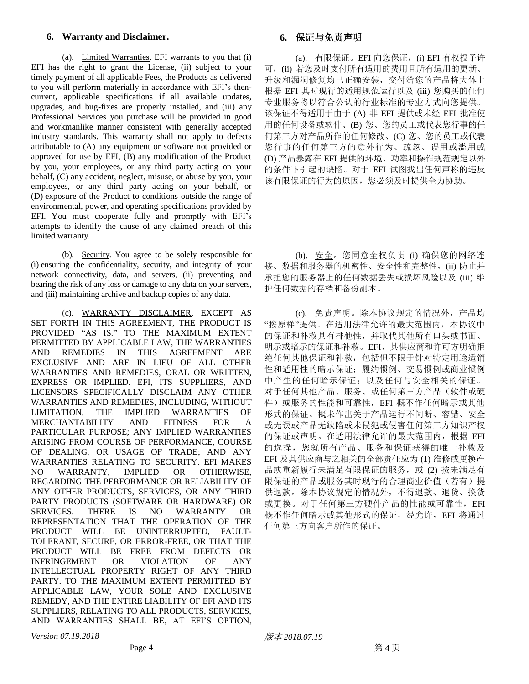### **6. Warranty and Disclaimer. 6.** 保证与免责声明

(a). Limited Warranties. EFI warrants to you that (i) EFI has the right to grant the License, (ii) subject to your timely payment of all applicable Fees, the Products as delivered to you will perform materially in accordance with EFI's thencurrent, applicable specifications if all available updates, upgrades, and bug-fixes are properly installed, and (iii) any Professional Services you purchase will be provided in good and workmanlike manner consistent with generally accepted industry standards. This warranty shall not apply to defects attributable to (A) any equipment or software not provided or approved for use by EFI, (B) any modification of the Product by you, your employees, or any third party acting on your behalf, (C) any accident, neglect, misuse, or abuse by you, your employees, or any third party acting on your behalf, or (D) exposure of the Product to conditions outside the range of environmental, power, and operating specifications provided by EFI. You must cooperate fully and promptly with EFI's attempts to identify the cause of any claimed breach of this limited warranty.

(b). Security. You agree to be solely responsible for (i) ensuring the confidentiality, security, and integrity of your network connectivity, data, and servers, (ii) preventing and bearing the risk of any loss or damage to any data on your servers, and (iii) maintaining archive and backup copies of any data.

(c). WARRANTY DISCLAIMER. EXCEPT AS SET FORTH IN THIS AGREEMENT, THE PRODUCT IS PROVIDED "AS IS." TO THE MAXIMUM EXTENT PERMITTED BY APPLICABLE LAW, THE WARRANTIES AND REMEDIES IN THIS AGREEMENT ARE EXCLUSIVE AND ARE IN LIEU OF ALL OTHER WARRANTIES AND REMEDIES, ORAL OR WRITTEN, EXPRESS OR IMPLIED. EFI, ITS SUPPLIERS, AND LICENSORS SPECIFICALLY DISCLAIM ANY OTHER WARRANTIES AND REMEDIES, INCLUDING, WITHOUT LIMITATION, THE IMPLIED WARRANTIES OF LIMITATION, THE IMPLIED WARRANTIES OF MERCHANTABILITY AND FITNESS FOR A PARTICULAR PURPOSE; ANY IMPLIED WARRANTIES ARISING FROM COURSE OF PERFORMANCE, COURSE OF DEALING, OR USAGE OF TRADE; AND ANY WARRANTIES RELATING TO SECURITY. EFI MAKES NO WARRANTY, IMPLIED OR OTHERWISE, REGARDING THE PERFORMANCE OR RELIABILITY OF ANY OTHER PRODUCTS, SERVICES, OR ANY THIRD PARTY PRODUCTS (SOFTWARE OR HARDWARE) OR SERVICES. THERE IS NO WARRANTY OR REPRESENTATION THAT THE OPERATION OF THE PRODUCT WILL BE UNINTERRUPTED, FAULT-TOLERANT, SECURE, OR ERROR-FREE, OR THAT THE PRODUCT WILL BE FREE FROM DEFECTS OR INFRINGEMENT OR VIOLATION OF ANY INTELLECTUAL PROPERTY RIGHT OF ANY THIRD PARTY. TO THE MAXIMUM EXTENT PERMITTED BY APPLICABLE LAW, YOUR SOLE AND EXCLUSIVE REMEDY, AND THE ENTIRE LIABILITY OF EFI AND ITS SUPPLIERS, RELATING TO ALL PRODUCTS, SERVICES, AND WARRANTIES SHALL BE, AT EFI'S OPTION,

(a). 有限保证。EFI 向您保证, (i) EFI 有权授予许 可,(ii) 若您及时支付所有适用的费用且所有适用的更新、 升级和漏洞修复均已正确安装,交付给您的产品将大体上 根据 EFI 其时现行的适用规范运行以及 (iii) 您购买的任何 专业服务将以符合公认的行业标准的专业方式向您提供。 该保证不得适用于由于 (A) 非 EFI 提供或未经 EFI 批准使 用的任何设备或软件、(B) 您、您的员工或代表您行事的任 何第三方对产品所作的任何修改、(C) 您、您的员工或代表 您行事的任何第三方的意外行为、疏忽、误用或滥用或 (D) 产品暴露在 EFI 提供的环境、功率和操作规范规定以外 的条件下引起的缺陷。对于 EFI 试图找出任何声称的违反 该有限保证的行为的原因,您必须及时提供全力协助。

(b). 安全。您同意全权负责 (i) 确保您的网络连 接、数据和服务器的机密性、安全性和完整性,(ii) 防止并 承担您的服务器上的任何数据丢失或损坏风险以及 (iii) 维 护任何数据的存档和备份副本。

(c). 免责声明。除本协议规定的情况外,产品均 "按原样"提供。在适用法律允许的最大范围内,本协议中 的保证和补救具有排他性,并取代其他所有口头或书面、 明示或暗示的保证和补救。EFI、其供应商和许可方明确拒 绝任何其他保证和补救,包括但不限于针对特定用途适销 性和适用性的暗示保证;履约惯例、交易惯例或商业惯例 中产生的任何暗示保证;以及任何与安全相关的保证。 对于任何其他产品、服务、或任何第三方产品(软件或硬 件)或服务的性能和可靠性, EFI 概不作任何暗示或其他 形式的保证。概未作出关于产品运行不间断、容错、安全 或无误或产品无缺陷或未侵犯或侵害任何第三方知识产权 的保证或声明。在适用法律允许的最大范围内,根据 EFI 的选择,您就所有产品、服务和保证获得的唯一补救及 EFI 及其供应商与之相关的全部责任应为 (1) 维修或更换产 品或重新履行未满足有限保证的服务, 或(2) 按未满足有 限保证的产品或服务其时现行的合理商业价值(若有)提 供退款。除本协议规定的情况外,不得退款、退货、换货 或更换。对于任何第三方硬件产品的性能或可靠性,EFI 概不作任何暗示或其他形式的保证,经允许,EFI 将通过 任何第三方向客户所作的保证。

*Version 07.19.2018* 版本 *2018.07.19*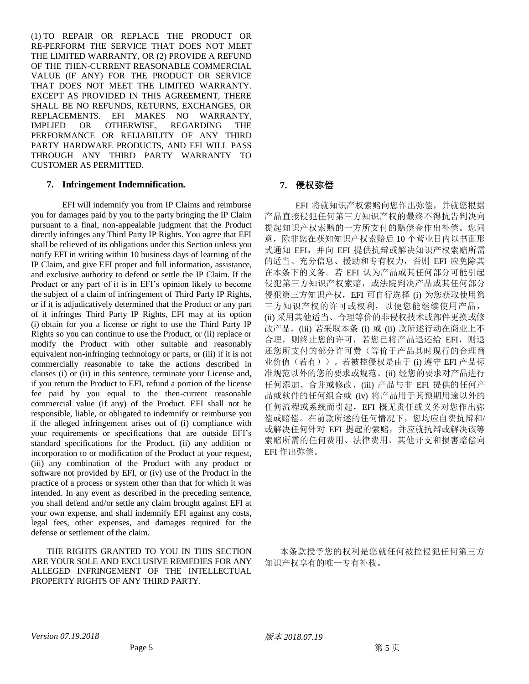(1) TO REPAIR OR REPLACE THE PRODUCT OR RE-PERFORM THE SERVICE THAT DOES NOT MEET THE LIMITED WARRANTY, OR (2) PROVIDE A REFUND OF THE THEN-CURRENT REASONABLE COMMERCIAL VALUE (IF ANY) FOR THE PRODUCT OR SERVICE THAT DOES NOT MEET THE LIMITED WARRANTY. EXCEPT AS PROVIDED IN THIS AGREEMENT, THERE SHALL BE NO REFUNDS, RETURNS, EXCHANGES, OR REPLACEMENTS. EFI MAKES NO WARRANTY, IMPLIED OR OTHERWISE, REGARDING THE PERFORMANCE OR RELIABILITY OF ANY THIRD PARTY HARDWARE PRODUCTS, AND EFI WILL PASS THROUGH ANY THIRD PARTY WARRANTY TO CUSTOMER AS PERMITTED.

## **7. Infringement Indemnification. 7.** 侵权弥偿

EFI will indemnify you from IP Claims and reimburse you for damages paid by you to the party bringing the IP Claim pursuant to a final, non-appealable judgment that the Product directly infringes any Third Party IP Rights. You agree that EFI shall be relieved of its obligations under this Section unless you notify EFI in writing within 10 business days of learning of the IP Claim, and give EFI proper and full information, assistance, and exclusive authority to defend or settle the IP Claim. If the Product or any part of it is in EFI's opinion likely to become the subject of a claim of infringement of Third Party IP Rights, or if it is adjudicatively determined that the Product or any part of it infringes Third Party IP Rights, EFI may at its option (i) obtain for you a license or right to use the Third Party IP Rights so you can continue to use the Product, or (ii) replace or modify the Product with other suitable and reasonably equivalent non-infringing technology or parts, or (iii) if it is not commercially reasonable to take the actions described in clauses (i) or (ii) in this sentence, terminate your License and, if you return the Product to EFI, refund a portion of the license fee paid by you equal to the then-current reasonable commercial value (if any) of the Product. EFI shall not be responsible, liable, or obligated to indemnify or reimburse you if the alleged infringement arises out of (i) compliance with your requirements or specifications that are outside EFI's standard specifications for the Product, (ii) any addition or incorporation to or modification of the Product at your request, (iii) any combination of the Product with any product or software not provided by EFI, or (iv) use of the Product in the practice of a process or system other than that for which it was intended. In any event as described in the preceding sentence, you shall defend and/or settle any claim brought against EFI at your own expense, and shall indemnify EFI against any costs, legal fees, other expenses, and damages required for the defense or settlement of the claim.

THE RIGHTS GRANTED TO YOU IN THIS SECTION ARE YOUR SOLE AND EXCLUSIVE REMEDIES FOR ANY ALLEGED INFRINGEMENT OF THE INTELLECTUAL PROPERTY RIGHTS OF ANY THIRD PARTY.

EFI 将就知识产权索赔向您作出弥偿,并就您根据 产品直接侵犯任何第三方知识产权的最终不得抗告判决向 提起知识产权索赔的一方所支付的赔偿金作出补偿。您同 意,除非您在获知知识产权索赔后 10 个营业日内以书面形 式通知 EFI,并向 EFI 提供抗辩或解决知识产权索赔所需 的适当、充分信息、援助和专有权力,否则 EFI 应免除其 在本条下的义务。若 EFI 认为产品或其任何部分可能引起 侵犯第三方知识产权索赔,或法院判决产品或其任何部分 侵犯第三方知识产权,EFI 可自行选择 (i) 为您获取使用第 三方知识产权的许可或权利,以便您能继续使用产品, (ii) 采用其他适当、合理等价的非侵权技术或部件更换或修 改产品,(iii) 若采取本条 (i) 或 (ii) 款所述行动在商业上不 合理,则终止您的许可,若您已将产品退还给 EFI, 则退 还您所支付的部分许可费(等价于产品其时现行的合理商 业价值(若有))。若被控侵权是由于 (i) 遵守 EFI 产品标 准规范以外的您的要求或规范、(ii) 经您的要求对产品进行 任何添加、合并或修改、(iii) 产品与非 EFI 提供的任何产 品或软件的任何组合或 (iv) 将产品用于其预期用途以外的 任何流程或系统而引起,EFI 概无责任或义务对您作出弥 偿或赔偿。在前款所述的任何情况下,您均应自费抗辩和/ 或解决任何针对 EFI 提起的索赔,并应就抗辩或解决该等 索赔所需的任何费用、法律费用、其他开支和损害赔偿向 EFI 作出弥偿。

本条款授予您的权利是您就任何被控侵犯任何第三方 知识产权享有的唯一专有补救。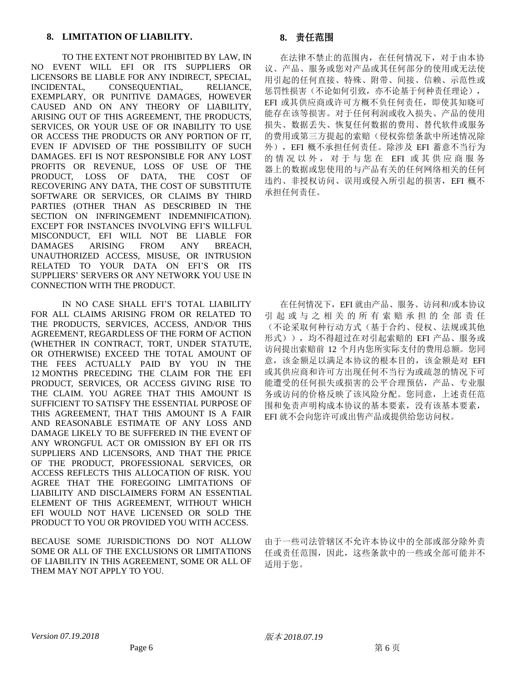TO THE EXTENT NOT PROHIBITED BY LAW, IN NO EVENT WILL EFI OR ITS SUPPLIERS OR LICENSORS BE LIABLE FOR ANY INDIRECT, SPECIAL, INCIDENTAL, CONSEQUENTIAL, RELIANCE, EXEMPLARY, OR PUNITIVE DAMAGES, HOWEVER CAUSED AND ON ANY THEORY OF LIABILITY, ARISING OUT OF THIS AGREEMENT, THE PRODUCTS, SERVICES, OR YOUR USE OF OR INABILITY TO USE OR ACCESS THE PRODUCTS OR ANY PORTION OF IT, EVEN IF ADVISED OF THE POSSIBILITY OF SUCH DAMAGES. EFI IS NOT RESPONSIBLE FOR ANY LOST PROFITS OR REVENUE, LOSS OF USE OF THE PRODUCT, LOSS OF DATA, THE COST OF RECOVERING ANY DATA, THE COST OF SUBSTITUTE SOFTWARE OR SERVICES, OR CLAIMS BY THIRD PARTIES (OTHER THAN AS DESCRIBED IN THE SECTION ON INFRINGEMENT INDEMNIFICATION). EXCEPT FOR INSTANCES INVOLVING EFI'S WILLFUL MISCONDUCT, EFI WILL NOT BE LIABLE FOR DAMAGES ARISING FROM ANY BREACH, UNAUTHORIZED ACCESS, MISUSE, OR INTRUSION RELATED TO YOUR DATA ON EFI'S OR ITS SUPPLIERS' SERVERS OR ANY NETWORK YOU USE IN CONNECTION WITH THE PRODUCT.

IN NO CASE SHALL EFI'S TOTAL LIABILITY FOR ALL CLAIMS ARISING FROM OR RELATED TO THE PRODUCTS, SERVICES, ACCESS, AND/OR THIS AGREEMENT, REGARDLESS OF THE FORM OF ACTION (WHETHER IN CONTRACT, TORT, UNDER STATUTE, OR OTHERWISE) EXCEED THE TOTAL AMOUNT OF THE FEES ACTUALLY PAID BY YOU IN THE 12 MONTHS PRECEDING THE CLAIM FOR THE EFI PRODUCT, SERVICES, OR ACCESS GIVING RISE TO THE CLAIM. YOU AGREE THAT THIS AMOUNT IS SUFFICIENT TO SATISFY THE ESSENTIAL PURPOSE OF THIS AGREEMENT, THAT THIS AMOUNT IS A FAIR AND REASONABLE ESTIMATE OF ANY LOSS AND DAMAGE LIKELY TO BE SUFFERED IN THE EVENT OF ANY WRONGFUL ACT OR OMISSION BY EFI OR ITS SUPPLIERS AND LICENSORS, AND THAT THE PRICE OF THE PRODUCT, PROFESSIONAL SERVICES, OR ACCESS REFLECTS THIS ALLOCATION OF RISK. YOU AGREE THAT THE FOREGOING LIMITATIONS OF LIABILITY AND DISCLAIMERS FORM AN ESSENTIAL ELEMENT OF THIS AGREEMENT, WITHOUT WHICH EFI WOULD NOT HAVE LICENSED OR SOLD THE PRODUCT TO YOU OR PROVIDED YOU WITH ACCESS.

BECAUSE SOME JURISDICTIONS DO NOT ALLOW SOME OR ALL OF THE EXCLUSIONS OR LIMITATIONS OF LIABILITY IN THIS AGREEMENT, SOME OR ALL OF THEM MAY NOT APPLY TO YOU.

在法律不禁止的范围内,在任何情况下,对于由本协 议、产品、服务或您对产品或其任何部分的使用或无法使 用引起的任何直接、特殊、附带、间接、信赖、示范性或 惩罚性损害(不论如何引致,亦不论基于何种责任理论), EFI 或其供应商或许可方概不负任何责任,即使其知晓可 能存在该等损害。对于任何利润或收入损失、产品的使用 损失、数据丢失、恢复任何数据的费用、替代软件或服务 的费用或第三方提起的索赔(侵权弥偿条款中所述情况除 外),EFI 概不承担任何责任。除涉及 EFI 蓄意不当行为 的情况以外,对于与您在 EFI 或其供应商服务 器上的数据或您使用的与产品有关的任何网络相关的任何 违约、非授权访问、误用或侵入所引起的损害,EFI 概不 承担任何责任。

在任何情况下,EFI 就由产品、服务、访问和/或本协议 引 起 或 与 之 相 关 的 所 有 索 赔 承 担 的 全 部 责 任 (不论采取何种行动方式(基于合约、侵权、法规或其他 形式)),均不得超过在对引起索赔的 EFI 产品、服务或 访问提出索赔前 12 个月内您所实际支付的费用总额。您同 意,该金额足以满足本协议的根本目的,该金额是对 EFI 或其供应商和许可方出现任何不当行为或疏忽的情况下可 能遭受的任何损失或损害的公平合理预估,产品、专业服 务或访问的价格反映了该风险分配。您同意,上述责任范 围和免责声明构成本协议的基本要素,没有该基本要素, EFI 就不会向您许可或出售产品或提供给您访问权。

由于一些司法管辖区不允许本协议中的全部或部分除外责 任或责任范围,因此,这些条款中的一些或全部可能并不 适用于您。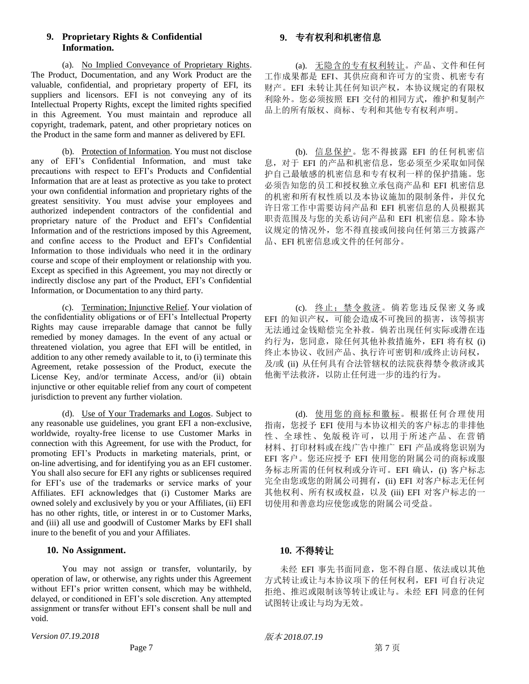# **9. Proprietary Rights & Confidential Information.**

(a). No Implied Conveyance of Proprietary Rights. The Product, Documentation, and any Work Product are the valuable, confidential, and proprietary property of EFI, its suppliers and licensors. EFI is not conveying any of its Intellectual Property Rights, except the limited rights specified in this Agreement. You must maintain and reproduce all copyright, trademark, patent, and other proprietary notices on the Product in the same form and manner as delivered by EFI.

(b). Protection of Information. You must not disclose any of EFI's Confidential Information, and must take precautions with respect to EFI's Products and Confidential Information that are at least as protective as you take to protect your own confidential information and proprietary rights of the greatest sensitivity. You must advise your employees and authorized independent contractors of the confidential and proprietary nature of the Product and EFI's Confidential Information and of the restrictions imposed by this Agreement, and confine access to the Product and EFI's Confidential Information to those individuals who need it in the ordinary course and scope of their employment or relationship with you. Except as specified in this Agreement, you may not directly or indirectly disclose any part of the Product, EFI's Confidential Information, or Documentation to any third party.

(c). Termination; Injunctive Relief. Your violation of the confidentiality obligations or of EFI's Intellectual Property Rights may cause irreparable damage that cannot be fully remedied by money damages. In the event of any actual or threatened violation, you agree that EFI will be entitled, in addition to any other remedy available to it, to (i) terminate this Agreement, retake possession of the Product, execute the License Key, and/or terminate Access, and/or (ii) obtain injunctive or other equitable relief from any court of competent jurisdiction to prevent any further violation.

(d). Use of Your Trademarks and Logos. Subject to any reasonable use guidelines, you grant EFI a non-exclusive, worldwide, royalty-free license to use Customer Marks in connection with this Agreement, for use with the Product, for promoting EFI's Products in marketing materials, print, or on-line advertising, and for identifying you as an EFI customer. You shall also secure for EFI any rights or sublicenses required for EFI's use of the trademarks or service marks of your Affiliates. EFI acknowledges that (i) Customer Marks are owned solely and exclusively by you or your Affiliates, (ii) EFI has no other rights, title, or interest in or to Customer Marks, and (iii) all use and goodwill of Customer Marks by EFI shall inure to the benefit of you and your Affiliates.

### **10. No Assignment. 10.** 不得转让

You may not assign or transfer, voluntarily, by operation of law, or otherwise, any rights under this Agreement without EFI's prior written consent, which may be withheld, delayed, or conditioned in EFI's sole discretion. Any attempted assignment or transfer without EFI's consent shall be null and void.

*Version 07.19.2018* 版本 *2018.07.19*

# **9.** 专有权利和机密信息

(a). 无隐含的专有权利转让。产品、文件和任何 工作成果都是 EFI、其供应商和许可方的宝贵、机密专有 财产。EFI 未转让其任何知识产权,本协议规定的有限权 利除外。您必须按照 EFI 交付的相同方式,维护和复制产 品上的所有版权、商标、专利和其他专有权利声明。

(b). 信息保护。您不得披露 EFI 的任何机密信 息, 对于 EFI 的产品和机密信息, 您必须至少采取如同保 护自己最敏感的机密信息和专有权利一样的保护措施。您 必须告知您的员工和授权独立承包商产品和 EFI 机密信息 的机密和所有权性质以及本协议施加的限制条件,并仅允 许日常工作中需要访问产品和 EFI 机密信息的人员根据其 职责范围及与您的关系访问产品和 EFI 机密信息。除本协 议规定的情况外,您不得直接或间接向任何第三方披露产 品、EFI 机密信息或文件的任何部分。

(c). 终止;禁令救济。倘若您违反保密义务或 EFI 的知识产权,可能会造成不可挽回的损害,该等损害 无法通过金钱赔偿完全补救。倘若出现任何实际或潜在违 约行为,您同意,除任何其他补救措施外,EFI 将有权 (i) 终止本协议、收回产品、执行许可密钥和/或终止访问权, 及/或 (ii) 从任何具有合法管辖权的法院获得禁令救济或其 他衡平法救济,以防止任何进一步的违约行为。

(d). 使用您的商标和徽标。根据任何合理使用 指南,您授予 EFI 使用与本协议相关的客户标志的非排他 性、全球性、免版税许可,以用于所述产品、在营销 材料、打印材料或在线广告中推广 EFI 产品或将您识别为 EFI 客户。您还应授予 EFI 使用您的附属公司的商标或服 务标志所需的任何权利或分许可。EFI 确认,(i) 客户标志 完全由您或您的附属公司拥有,(ii) EFI 对客户标志无任何 其他权利、所有权或权益,以及 (iii) EFI 对客户标志的一 切使用和善意均应使您或您的附属公司受益。

未经 EFI 事先书面同意,您不得自愿、依法或以其他 方式转让或让与本协议项下的任何权利, EFI 可自行决定 拒绝、推迟或限制该等转让或让与。未经 EFI 同意的任何 试图转让或让与均为无效。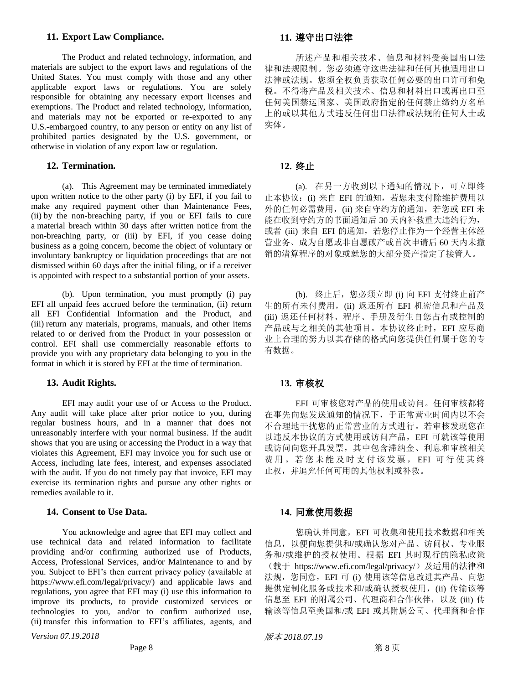### **11. Export Law Compliance. 11.** 遵守出口法律

The Product and related technology, information, and materials are subject to the export laws and regulations of the United States. You must comply with those and any other applicable export laws or regulations. You are solely responsible for obtaining any necessary export licenses and exemptions. The Product and related technology, information, and materials may not be exported or re-exported to any U.S.-embargoed country, to any person or entity on any list of prohibited parties designated by the U.S. government, or otherwise in violation of any export law or regulation.

## **12. Termination. 12.** 终止

(a). This Agreement may be terminated immediately upon written notice to the other party (i) by EFI, if you fail to make any required payment other than Maintenance Fees, (ii) by the non-breaching party, if you or EFI fails to cure a material breach within 30 days after written notice from the non-breaching party, or (iii) by EFI, if you cease doing business as a going concern, become the object of voluntary or involuntary bankruptcy or liquidation proceedings that are not dismissed within 60 days after the initial filing, or if a receiver is appointed with respect to a substantial portion of your assets.

(b). Upon termination, you must promptly (i) pay EFI all unpaid fees accrued before the termination, (ii) return all EFI Confidential Information and the Product, and (iii) return any materials, programs, manuals, and other items related to or derived from the Product in your possession or control. EFI shall use commercially reasonable efforts to provide you with any proprietary data belonging to you in the format in which it is stored by EFI at the time of termination.

### **13. Audit Rights. 13.** 审核权

EFI may audit your use of or Access to the Product. Any audit will take place after prior notice to you, during regular business hours, and in a manner that does not unreasonably interfere with your normal business. If the audit shows that you are using or accessing the Product in a way that violates this Agreement, EFI may invoice you for such use or Access, including late fees, interest, and expenses associated with the audit. If you do not timely pay that invoice, EFI may exercise its termination rights and pursue any other rights or remedies available to it.

### **14. Consent to Use Data. 14.** 同意使用数据

You acknowledge and agree that EFI may collect and use technical data and related information to facilitate providing and/or confirming authorized use of Products, Access, Professional Services, and/or Maintenance to and by you. Subject to EFI's then current privacy policy (available at https://www.efi.com/legal/privacy/) and applicable laws and regulations, you agree that EFI may (i) use this information to improve its products, to provide customized services or technologies to you, and/or to confirm authorized use, (ii) transfer this information to EFI's affiliates, agents, and

*Version 07.19.2018* 版本 *2018.07.19*

所述产品和相关技术、信息和材料受美国出口法 律和法规限制。您必须遵守这些法律和任何其他适用出口 法律或法规。您须全权负责获取任何必要的出口许可和免 税。不得将产品及相关技术、信息和材料出口或再出口至 任何美国禁运国家、美国政府指定的任何禁止缔约方名单 上的或以其他方式违反任何出口法律或法规的任何人士或 实体。

(a). 在另一方收到以下通知的情况下,可立即终 止本协议: (i) 来自 EFI 的通知, 若您未支付除维护费用以 外的任何必需费用,(ii) 来自守约方的通知, 若您或 EFI 未 能在收到守约方的书面通知后 30 天内补救重大违约行为, 或者 (iii) 来自 EFI 的通知, 若您停止作为一个经营主体经 营业务、成为自愿或非自愿破产或首次申请后 60 天内未撤 销的清算程序的对象或就您的大部分资产指定了接管人。

(b). 终止后,您必须立即 (i) 向 EFI 支付终止前产 生的所有未付费用,(ii) 返还所有 EFI 机密信息和产品及 (iii) 返还任何材料、程序、手册及衍生自您占有或控制的 产品或与之相关的其他项目。本协议终止时,EFI 应尽商 业上合理的努力以其存储的格式向您提供任何属于您的专 有数据。

EFI 可审核您对产品的使用或访问。任何审核都将 在事先向您发送通知的情况下,于正常营业时间内以不会 不合理地干扰您的正常营业的方式进行。若审核发现您在 以违反本协议的方式使用或访问产品,EFI 可就该等使用 或访问向您开具发票,其中包含滞纳金、利息和审核相关 费用。若您未能及时支付该发票, EFI 可行使其终 止权,并追究任何可用的其他权利或补救。

您确认并同意,EFI 可收集和使用技术数据和相关 信息,以便向您提供和/或确认您对产品、访问权、专业服 务和/或维护的授权使用。根据 EFI 其时现行的隐私政策 (载于 https://www.efi.com/legal/privacy/)及适用的法律和 法规,您同意, EFI 可 (i) 使用该等信息改进其产品、向您 提供定制化服务或技术和/或确认授权使用,(ii) 传输该等 信息至 EFI 的附属公司、代理商和合作伙伴, 以及 (iii) 传 输该等信息至美国和/或 EFI 或其附属公司、代理商和合作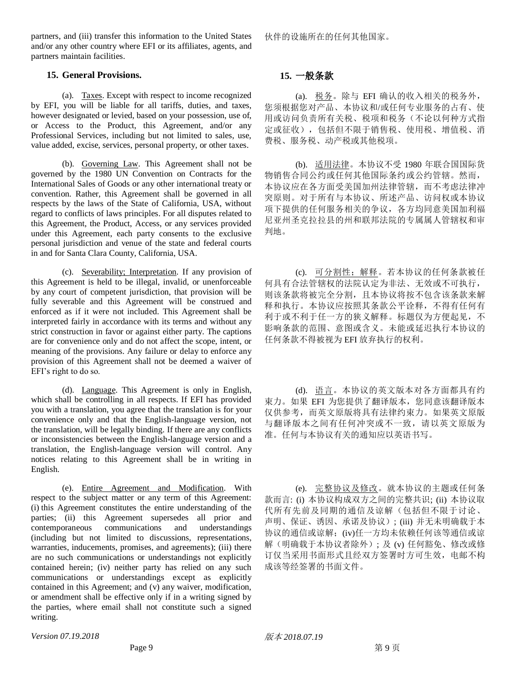partners, and (iii) transfer this information to the United States and/or any other country where EFI or its affiliates, agents, and partners maintain facilities.

### **15. General Provisions. 15.** 一般条款

(a). Taxes. Except with respect to income recognized by EFI, you will be liable for all tariffs, duties, and taxes, however designated or levied, based on your possession, use of, or Access to the Product, this Agreement, and/or any Professional Services, including but not limited to sales, use, value added, excise, services, personal property, or other taxes.

(b). Governing Law. This Agreement shall not be governed by the 1980 UN Convention on Contracts for the International Sales of Goods or any other international treaty or convention. Rather, this Agreement shall be governed in all respects by the laws of the State of California, USA, without regard to conflicts of laws principles. For all disputes related to this Agreement, the Product, Access, or any services provided under this Agreement, each party consents to the exclusive personal jurisdiction and venue of the state and federal courts in and for Santa Clara County, California, USA.

(c). Severability; Interpretation. If any provision of this Agreement is held to be illegal, invalid, or unenforceable by any court of competent jurisdiction, that provision will be fully severable and this Agreement will be construed and enforced as if it were not included. This Agreement shall be interpreted fairly in accordance with its terms and without any strict construction in favor or against either party. The captions are for convenience only and do not affect the scope, intent, or meaning of the provisions. Any failure or delay to enforce any provision of this Agreement shall not be deemed a waiver of EFI's right to do so.

(d). Language. This Agreement is only in English, which shall be controlling in all respects. If EFI has provided you with a translation, you agree that the translation is for your convenience only and that the English-language version, not the translation, will be legally binding. If there are any conflicts or inconsistencies between the English-language version and a translation, the English-language version will control. Any notices relating to this Agreement shall be in writing in English.

(e). Entire Agreement and Modification. With respect to the subject matter or any term of this Agreement: (i) this Agreement constitutes the entire understanding of the parties; (ii) this Agreement supersedes all prior and contemporaneous communications and understandings (including but not limited to discussions, representations, warranties, inducements, promises, and agreements); (iii) there are no such communications or understandings not explicitly contained herein; (iv) neither party has relied on any such communications or understandings except as explicitly contained in this Agreement; and (v) any waiver, modification, or amendment shall be effective only if in a writing signed by the parties, where email shall not constitute such a signed writing.

伙伴的设施所在的任何其他国家。

(a). 税务。除与 EFI 确认的收入相关的税务外, 您须根据您对产品、本协议和/或任何专业服务的占有、使 用或访问负责所有关税、税项和税务(不论以何种方式指 定或征收),包括但不限于销售税、使用税、增值税、消 费税、服务税、动产税或其他税项。

(b). 适用法律。本协议不受 1980 年联合国国际货 物销售合同公约或任何其他国际条约或公约管辖。然而, 本协议应在各方面受美国加州法律管辖,而不考虑法律冲 突原则。对于所有与本协议、所述产品、访问权或本协议 项下提供的任何服务相关的争议,各方均同意美国加利福 尼亚州圣克拉拉县的州和联邦法院的专属属人管辖权和审 判地。

(c). 可分割性;解释。若本协议的任何条款被任 何具有合法管辖权的法院认定为非法、无效或不可执行, 则该条款将被完全分割,且本协议将按不包含该条款来解 释和执行。本协议应按照其条款公平诠释,不得有任何有 利于或不利于任一方的狭义解释。标题仅为方便起见,不 影响条款的范围、意图或含义。未能或延迟执行本协议的 任何条款不得被视为 EFI 放弃执行的权利。

(d). 语言。本协议的英文版本对各方面都具有约 束力。如果 EFI 为您提供了翻译版本,您同意该翻译版本 仅供参考,而英文原版将具有法律约束力。如果英文原版 与翻译版本之间有任何冲突或不一致,请以英文原版为 准。任何与本协议有关的通知应以英语书写。

(e). 完整协议及修改。就本协议的主题或任何条 款而言: (i) 本协议构成双方之间的完整共识; (ii) 本协议取 代所有先前及同期的通信及谅解(包括但不限于讨论、 声明、保证、诱因、承诺及协议); (iii) 并无未明确载于本 协议的通信或谅解;(iv)任一方均未依赖任何该等通信或谅 解(明确载于本协议者除外); 及 (v) 任何豁免、修改或修 订仅当采用书面形式且经双方签署时方可生效,电邮不构 成该等经签署的书面文件。

*Version 07.19.2018* 版本 *2018.07.19*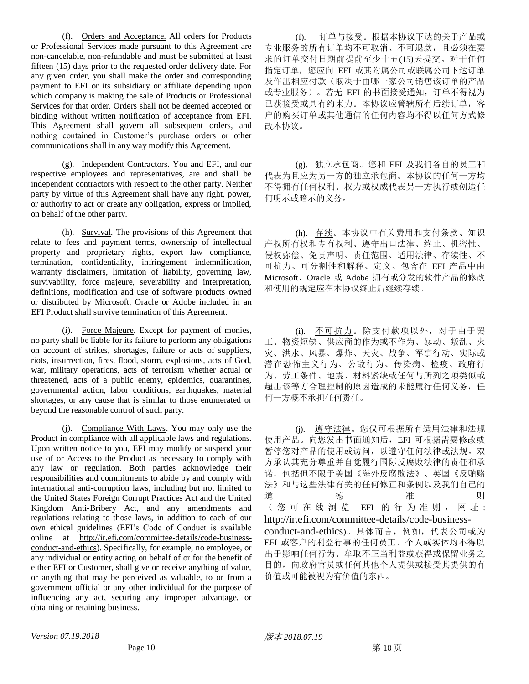(f). Orders and Acceptance. All orders for Products or Professional Services made pursuant to this Agreement are non-cancelable, non-refundable and must be submitted at least fifteen (15) days prior to the requested order delivery date. For any given order, you shall make the order and corresponding payment to EFI or its subsidiary or affiliate depending upon which company is making the sale of Products or Professional Services for that order. Orders shall not be deemed accepted or binding without written notification of acceptance from EFI. This Agreement shall govern all subsequent orders, and nothing contained in Customer's purchase orders or other communications shall in any way modify this Agreement.

(g). Independent Contractors. You and EFI, and our respective employees and representatives, are and shall be independent contractors with respect to the other party. Neither party by virtue of this Agreement shall have any right, power, or authority to act or create any obligation, express or implied, on behalf of the other party.

(h). Survival. The provisions of this Agreement that relate to fees and payment terms, ownership of intellectual property and proprietary rights, export law compliance, termination, confidentiality, infringement indemnification, warranty disclaimers, limitation of liability, governing law, survivability, force majeure, severability and interpretation, definitions, modification and use of software products owned or distributed by Microsoft, Oracle or Adobe included in an EFI Product shall survive termination of this Agreement.

(i). Force Majeure. Except for payment of monies, no party shall be liable for its failure to perform any obligations on account of strikes, shortages, failure or acts of suppliers, riots, insurrection, fires, flood, storm, explosions, acts of God, war, military operations, acts of terrorism whether actual or threatened, acts of a public enemy, epidemics, quarantines, governmental action, labor conditions, earthquakes, material shortages, or any cause that is similar to those enumerated or beyond the reasonable control of such party.

(j). Compliance With Laws. You may only use the Product in compliance with all applicable laws and regulations. Upon written notice to you, EFI may modify or suspend your use of or Access to the Product as necessary to comply with any law or regulation. Both parties acknowledge their responsibilities and commitments to abide by and comply with international anti-corruption laws, including but not limited to the United States Foreign Corrupt Practices Act and the United Kingdom Anti-Bribery Act, and any amendments and regulations relating to those laws, in addition to each of our own ethical guidelines (EFI's Code of Conduct is available online at [http://ir.efi.com/committee-details/code-business](http://ir.efi.com/committee-details/code-business-conduct-and-ethics)[conduct-and-ethics\)](http://ir.efi.com/committee-details/code-business-conduct-and-ethics). Specifically, for example, no employee, or any individual or entity acting on behalf of or for the benefit of either EFI or Customer, shall give or receive anything of value, or anything that may be perceived as valuable, to or from a government official or any other individual for the purpose of influencing any act, securing any improper advantage, or obtaining or retaining business.

(f). 订单与接受。根据本协议下达的关于产品或 专业服务的所有订单均不可取消、不可退款,且必须在要 求的订单交付日期前提前至少十五(15)天提交。对于任何 指定订单,您应向 EFI 或其附属公司或联属公司下达订单 及作出相应付款(取决于由哪一家公司销售该订单的产品 或专业服务)。若无 EFI 的书面接受通知,订单不得视为 已获接受或具有约束力。本协议应管辖所有后续订单,客 户的购买订单或其他通信的任何内容均不得以任何方式修 改本协议。

(g). 独立承包商。您和 EFI 及我们各自的员工和 代表为且应为另一方的独立承包商。本协议的任何一方均 不得拥有任何权利、权力或权威代表另一方执行或创造任 何明示或暗示的义务。

(h). 存续。本协议中有关费用和支付条款、知识 产权所有权和专有权利、遵守出口法律、终止、机密性、 侵权弥偿、免责声明、责任范围、适用法律、存续性、不 可抗力、可分割性和解释、定义、包含在 EFI 产品中由 Microsoft、Oracle 或 Adobe 拥有或分发的软件产品的修改 和使用的规定应在本协议终止后继续存续。

(i). 不可抗力。除支付款项以外,对于由于罢 工、物资短缺、供应商的作为或不作为、暴动、叛乱、火 灾、洪水、风暴、爆炸、天灾、战争、军事行动、实际或 潜在恐怖主义行为、公敌行为、传染病、检疫、政府行 为、劳工条件、地震、材料紧缺或任何与所列之项类似或 超出该等方合理控制的原因造成的未能履行任何义务,任 何一方概不承担任何责任。

(j). 遵守法律。您仅可根据所有适用法律和法规 使用产品。向您发出书面通知后,EFI 可根据需要修改或 暂停您对产品的使用或访问,以遵守任何法律或法规。双 方承认其充分尊重并自觉履行国际反腐败法律的责任和承 诺,包括但不限于美国《海外反腐败法》、英国《反贿赂 法》和与这些法律有关的任何修正和条例以及我们自己的 道德<br>道德<br>道德<br>道德 ( 您 可 在 线 浏 览 EFI 的 行 为 准 则 , 网 址 : [http://ir.efi.com/committee-details/code-business](http://ir.efi.com/committee-details/code-business-conduct-and-ethics)[conduct-and-ethics](http://ir.efi.com/committee-details/code-business-conduct-and-ethics))。具体而言,例如,代表公司或为 EFI 或客户的利益行事的任何员工、个人或实体均不得以 出于影响任何行为、牟取不正当利益或获得或保留业务之 目的,向政府官员或任何其他个人提供或接受其提供的有 价值或可能被视为有价值的东西。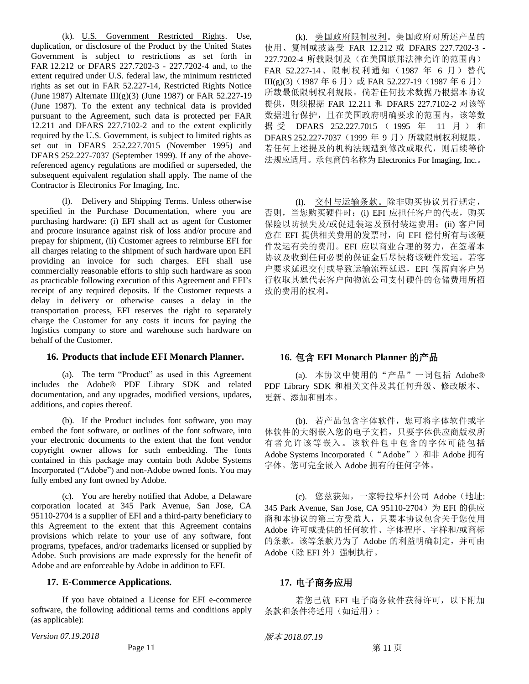(k). U.S. Government Restricted Rights. Use, duplication, or disclosure of the Product by the United States Government is subject to restrictions as set forth in FAR 12.212 or DFARS 227.7202-3 - 227.7202-4 and, to the extent required under U.S. federal law, the minimum restricted rights as set out in FAR 52.227-14, Restricted Rights Notice (June 1987) Alternate III(g)(3) (June 1987) or FAR 52.227-19 (June 1987). To the extent any technical data is provided pursuant to the Agreement, such data is protected per FAR 12.211 and DFARS 227.7102-2 and to the extent explicitly required by the U.S. Government, is subject to limited rights as set out in DFARS 252.227.7015 (November 1995) and DFARS 252.227-7037 (September 1999). If any of the abovereferenced agency regulations are modified or superseded, the subsequent equivalent regulation shall apply. The name of the Contractor is Electronics For Imaging, Inc.

(l). Delivery and Shipping Terms. Unless otherwise specified in the Purchase Documentation, where you are purchasing hardware: (i) EFI shall act as agent for Customer and procure insurance against risk of loss and/or procure and prepay for shipment, (ii) Customer agrees to reimburse EFI for all charges relating to the shipment of such hardware upon EFI providing an invoice for such charges. EFI shall use commercially reasonable efforts to ship such hardware as soon as practicable following execution of this Agreement and EFI's receipt of any required deposits. If the Customer requests a delay in delivery or otherwise causes a delay in the transportation process, EFI reserves the right to separately charge the Customer for any costs it incurs for paying the logistics company to store and warehouse such hardware on behalf of the Customer.

### **16. Products that include EFI Monarch Planner. 16.** 包含 **EFI Monarch Planner** 的产品

(a). The term "Product" as used in this Agreement includes the Adobe® PDF Library SDK and related documentation, and any upgrades, modified versions, updates, additions, and copies thereof.

(b). If the Product includes font software, you may embed the font software, or outlines of the font software, into your electronic documents to the extent that the font vendor copyright owner allows for such embedding. The fonts contained in this package may contain both Adobe Systems Incorporated ("Adobe") and non-Adobe owned fonts. You may fully embed any font owned by Adobe.

(c). You are hereby notified that Adobe, a Delaware corporation located at 345 Park Avenue, San Jose, CA 95110-2704 is a supplier of EFI and a third-party beneficiary to this Agreement to the extent that this Agreement contains provisions which relate to your use of any software, font programs, typefaces, and/or trademarks licensed or supplied by Adobe. Such provisions are made expressly for the benefit of Adobe and are enforceable by Adobe in addition to EFI.

### **17. E-Commerce Applications. 17.** 电子商务应用

If you have obtained a License for EFI e-commerce software, the following additional terms and conditions apply (as applicable):

*Version 07.19.2018* 版本 *2018.07.19*

(k). 美国政府限制权利。美国政府对所述产品的 使用、复制或披露受 FAR 12.212 或 DFARS 227.7202-3 - 227.7202-4 所载限制及(在美国联邦法律允许的范围内) FAR 52.227-14、限制权利通知(1987年 6月)替代 III(g)(3)(1987年6月)或 FAR 52.227-19(1987年6月) 所载最低限制权利规限。倘若任何技术数据乃根据本协议 提供, 则须根据 FAR 12.211 和 DFARS 227.7102-2 对该等 数据进行保护,且在美国政府明确要求的范围内,该等数 据受 DFARS 252.227.7015 (1995 年 11 月) 和 DFARS 252.227-7037 (1999年 9月)所载限制权利规限。 若任何上述提及的机构法规遭到修改或取代,则后续等价 法规应适用。承包商的名称为 Electronics For Imaging, Inc.。

(l). 交付与运输条款。除非购买协议另行规定, 否则, 当您购买硬件时: (i) EFI 应担任客户的代表, 购买 保险以防损失及/或促进装运及预付装运费用;(ii) 客户同 意在 EFI 提供相关费用的发票时,向 EFI 偿付所有与该硬 件发运有关的费用。EFI 应以商业合理的努力,在签署本 协议及收到任何必要的保证金后尽快将该硬件发运。若客 户要求延迟交付或导致运输流程延迟,EFI 保留向客户另 行收取其就代表客户向物流公司支付硬件的仓储费用所招 致的费用的权利。

(a). 本协议中使用的"产品"一词包括 Adobe® PDF Library SDK 和相关文件及其任何升级、修改版本、 更新、添加和副本。

(b). 若产品包含字体软件,您可将字体软件或字 体软件的大纲嵌入您的电子文档,只要字体供应商版权所 有者允许该等嵌入。该软件包中包含的字体可能包括 Adobe Systems Incorporated ("Adobe")和非 Adobe 拥有 字体。您可完全嵌入 Adobe 拥有的任何字体。

(c). 您兹获知,一家特拉华州公司 Adobe(地址: 345 Park Avenue, San Jose, CA 95110-2704) 为 EFI 的供应 商和本协议的第三方受益人,只要本协议包含关于您使用 Adobe 许可或提供的任何软件、字体程序、字样和/或商标 的条款。该等条款乃为了 Adobe 的利益明确制定,并可由 Adobe(除 EFI 外)强制执行。

若您已就 EFI 电子商务软件获得许可,以下附加 条款和条件将适用(如适用):

Page 11 and the set of the set of the set of the set of the set of the set of the set of the set of the set of the set of the set of the set of the set of the set of the set of the set of the set of the set of the set of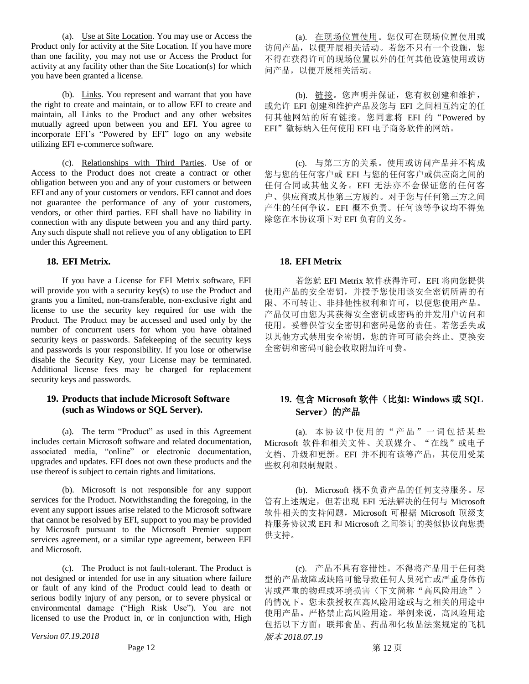(a). Use at Site Location. You may use or Access the Product only for activity at the Site Location. If you have more than one facility, you may not use or Access the Product for activity at any facility other than the Site Location(s) for which you have been granted a license.

(b). Links. You represent and warrant that you have the right to create and maintain, or to allow EFI to create and maintain, all Links to the Product and any other websites mutually agreed upon between you and EFI. You agree to incorporate EFI's "Powered by EFI" logo on any website utilizing EFI e-commerce software.

(c). Relationships with Third Parties. Use of or Access to the Product does not create a contract or other obligation between you and any of your customers or between EFI and any of your customers or vendors. EFI cannot and does not guarantee the performance of any of your customers, vendors, or other third parties. EFI shall have no liability in connection with any dispute between you and any third party. Any such dispute shall not relieve you of any obligation to EFI under this Agreement.

If you have a License for EFI Metrix software, EFI will provide you with a security key(s) to use the Product and grants you a limited, non-transferable, non-exclusive right and license to use the security key required for use with the Product. The Product may be accessed and used only by the number of concurrent users for whom you have obtained security keys or passwords. Safekeeping of the security keys and passwords is your responsibility. If you lose or otherwise disable the Security Key, your License may be terminated. Additional license fees may be charged for replacement security keys and passwords.

# **19. Products that include Microsoft Software (such as Windows or SQL Server).**

(a). The term "Product" as used in this Agreement includes certain Microsoft software and related documentation, associated media, "online" or electronic documentation, upgrades and updates. EFI does not own these products and the use thereof is subject to certain rights and limitations.

(b). Microsoft is not responsible for any support services for the Product. Notwithstanding the foregoing, in the event any support issues arise related to the Microsoft software that cannot be resolved by EFI, support to you may be provided by Microsoft pursuant to the Microsoft Premier support services agreement, or a similar type agreement, between EFI and Microsoft.

(c). The Product is not fault-tolerant. The Product is not designed or intended for use in any situation where failure or fault of any kind of the Product could lead to death or serious bodily injury of any person, or to severe physical or environmental damage ("High Risk Use"). You are not licensed to use the Product in, or in conjunction with, High

*Version 07.19.2018* 版本 *2018.07.19*

(a). 在现场位置使用。您仅可在现场位置使用或 访问产品,以便开展相关活动。若您不只有一个设施,您 不得在获得许可的现场位置以外的任何其他设施使用或访 问产品,以便开展相关活动。

(b). 链接。您声明并保证,您有权创建和维护, 或允许 EFI 创建和维护产品及您与 EFI 之间相互约定的任 何其他网站的所有链接。您同意将 EFI 的"Powered by EFI"徽标纳入任何使用 EFI 电子商务软件的网站。

(c). 与第三方的关系。使用或访问产品并不构成 您与您的任何客户或 EFI 与您的任何客户或供应商之间的 任何合同或其他义务。EFI 无法亦不会保证您的任何客 户、供应商或其他第三方履约。对于您与任何第三方之间 产生的任何争议,EFI 概不负责。任何该等争议均不得免 除您在本协议项下对 EFI 负有的义务。

### **18. EFI Metrix. 18. EFI Metrix**

若您就 EFI Metrix 软件获得许可, EFI 将向您提供 使用产品的安全密钥,并授予您使用该安全密钥所需的有 限、不可转让、非排他性权利和许可,以便您使用产品。 产品仅可由您为其获得安全密钥或密码的并发用户访问和 使用。妥善保管安全密钥和密码是您的责任。若您丢失或 以其他方式禁用安全密钥,您的许可可能会终止。更换安 全密钥和密码可能会收取附加许可费。

# **19.** 包含 **Microsoft** 软件(比如**: Windows** 或 **SQL Server**)的产品

(a). 本 协 议 中 使 用的 " 产 品 "一 词 包 括某 些 Microsoft 软件和相关文件、关联媒介、"在线"或电子 文档、升级和更新。EFI 并不拥有该等产品,其使用受某 些权利和限制规限。

(b). Microsoft 概不负责产品的任何支持服务。尽 管有上述规定,但若出现 EFI 无法解决的任何与 Microsoft 软件相关的支持问题, Microsoft 可根据 Microsoft 顶级支 持服务协议或 EFI 和 Microsoft 之间签订的类似协议向您提 供支持。

(c). 产品不具有容错性。不得将产品用于任何类 型的产品故障或缺陷可能导致任何人员死亡或严重身体伤 害或严重的物理或环境损害(下文简称"高风险用途") 的情况下。您未获授权在高风险用途或与之相关的用途中 使用产品。严格禁止高风险用途。举例来说,高风险用途 包括以下方面:联邦食品、药品和化妆品法案规定的飞机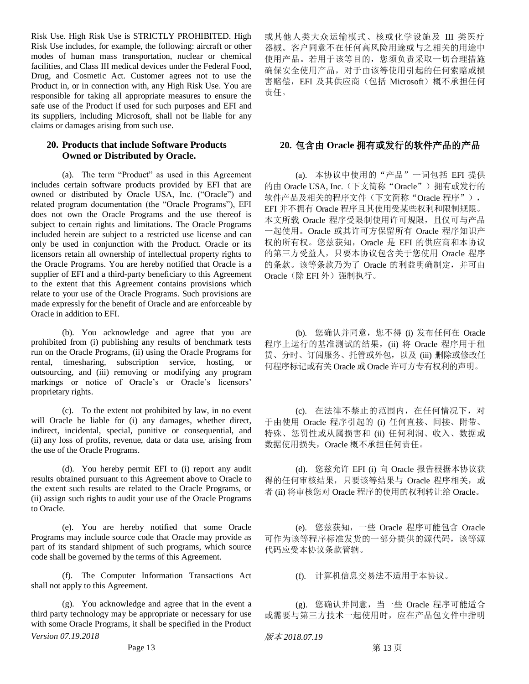Risk Use. High Risk Use is STRICTLY PROHIBITED. High Risk Use includes, for example, the following: aircraft or other modes of human mass transportation, nuclear or chemical facilities, and Class III medical devices under the Federal Food, Drug, and Cosmetic Act. Customer agrees not to use the Product in, or in connection with, any High Risk Use. You are responsible for taking all appropriate measures to ensure the safe use of the Product if used for such purposes and EFI and its suppliers, including Microsoft, shall not be liable for any claims or damages arising from such use.

# **20. Products that include Software Products Owned or Distributed by Oracle.**

(a). The term "Product" as used in this Agreement includes certain software products provided by EFI that are owned or distributed by Oracle USA, Inc. ("Oracle") and related program documentation (the "Oracle Programs"), EFI does not own the Oracle Programs and the use thereof is subject to certain rights and limitations. The Oracle Programs included herein are subject to a restricted use license and can only be used in conjunction with the Product. Oracle or its licensors retain all ownership of intellectual property rights to the Oracle Programs. You are hereby notified that Oracle is a supplier of EFI and a third-party beneficiary to this Agreement to the extent that this Agreement contains provisions which relate to your use of the Oracle Programs. Such provisions are made expressly for the benefit of Oracle and are enforceable by Oracle in addition to EFI.

(b). You acknowledge and agree that you are prohibited from (i) publishing any results of benchmark tests run on the Oracle Programs, (ii) using the Oracle Programs for rental, timesharing, subscription service, hosting, or outsourcing, and (iii) removing or modifying any program markings or notice of Oracle's or Oracle's licensors' proprietary rights.

(c). To the extent not prohibited by law, in no event will Oracle be liable for (i) any damages, whether direct, indirect, incidental, special, punitive or consequential, and (ii) any loss of profits, revenue, data or data use, arising from the use of the Oracle Programs.

(d). You hereby permit EFI to (i) report any audit results obtained pursuant to this Agreement above to Oracle to the extent such results are related to the Oracle Programs, or (ii) assign such rights to audit your use of the Oracle Programs to Oracle.

(e). You are hereby notified that some Oracle Programs may include source code that Oracle may provide as part of its standard shipment of such programs, which source code shall be governed by the terms of this Agreement.

(f). The Computer Information Transactions Act shall not apply to this Agreement.

*Version 07.19.2018* 版本 *2018.07.19* (g). You acknowledge and agree that in the event a third party technology may be appropriate or necessary for use with some Oracle Programs, it shall be specified in the Product

或其他人类大众运输模式、核或化学设施及 III 类医疗 器械。客户同意不在任何高风险用途或与之相关的用途中 使用产品。若用于该等目的,您须负责采取一切合理措施 确保安全使用产品,对于由该等使用引起的任何索赔或损 害赔偿, EFI 及其供应商(包括 Microsoft)概不承担任何 责任。

# **20.** 包含由 **Oracle** 拥有或发行的软件产品的产品

(a). 本协议中使用的"产品"一词包括 EFI 提供 的由 Oracle USA, Inc. (下文简称"Oracle")拥有或发行的 软件产品及相关的程序文件(下文简称"Oracle 程序"), EFI 并不拥有 Oracle 程序且其使用受某些权利和限制规限。 本文所载 Oracle 程序受限制使用许可规限,且仅可与产品 一起使用。Oracle 或其许可方保留所有 Oracle 程序知识产 权的所有权。您兹获知,Oracle 是 EFI 的供应商和本协议 的第三方受益人,只要本协议包含关于您使用 Oracle 程序 的条款。该等条款乃为了 Oracle 的利益明确制定,并可由 Oracle(除 EFI 外)强制执行。

(b). 您确认并同意,您不得 (i) 发布任何在 Oracle 程序上运行的基准测试的结果,(ii) 将 Oracle 程序用于租 赁、分时、订阅服务、托管或外包,以及 (iii) 删除或修改任 何程序标记或有关 Oracle 或 Oracle 许可方专有权利的声明。

(c). 在法律不禁止的范围内,在任何情况下,对 于由使用 Oracle 程序引起的 (i) 任何直接、间接、附带、 特殊、惩罚性或从属损害和 (ii) 任何利润、收入、数据或 数据使用损失,Oracle 概不承担任何责任。

(d). 您兹允许 EFI (i) 向 Oracle 报告根据本协议获 得的任何审核结果,只要该等结果与 Oracle 程序相关,或 者 (ii) 将审核您对 Oracle 程序的使用的权利转让给 Oracle。

(e). 您兹获知,一些 Oracle 程序可能包含 Oracle 可作为该等程序标准发货的一部分提供的源代码,该等源 代码应受本协议条款管辖。

(f). 计算机信息交易法不适用于本协议。

(g). 您确认并同意,当一些 Oracle 程序可能适合 或需要与第三方技术一起使用时,应在产品包文件中指明

Page 13 and the set of the set of the set of the set of the set of the set of the set of the set of the set of the set of the set of the set of the set of the set of the set of the set of the set of the set of the set of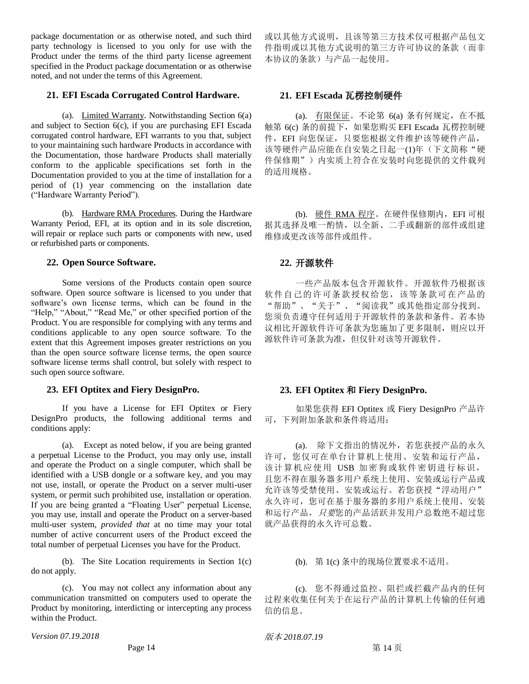package documentation or as otherwise noted, and such third party technology is licensed to you only for use with the Product under the terms of the third party license agreement specified in the Product package documentation or as otherwise noted, and not under the terms of this Agreement.

# **21. EFI Escada Corrugated Control Hardware. 21. EFI Escada** 瓦楞控制硬件

(a). Limited Warranty. Notwithstanding Section 6(a) and subject to Section 6(c), if you are purchasing EFI Escada corrugated control hardware, EFI warrants to you that, subject to your maintaining such hardware Products in accordance with the Documentation, those hardware Products shall materially conform to the applicable specifications set forth in the Documentation provided to you at the time of installation for a period of (1) year commencing on the installation date ("Hardware Warranty Period").

(b). Hardware RMA Procedures. During the Hardware Warranty Period, EFI, at its option and in its sole discretion, will repair or replace such parts or components with new, used or refurbished parts or components.

### **22. Open Source Software. 22.** 开源软件

Some versions of the Products contain open source software. Open source software is licensed to you under that software's own license terms, which can be found in the "Help," "About," "Read Me," or other specified portion of the Product. You are responsible for complying with any terms and conditions applicable to any open source software. To the extent that this Agreement imposes greater restrictions on you than the open source software license terms, the open source software license terms shall control, but solely with respect to such open source software.

# **23. EFI Optitex and Fiery DesignPro. 23. EFI Optitex** 和 **Fiery DesignPro.**

If you have a License for EFI Optitex or Fiery DesignPro products, the following additional terms and conditions apply:

(a). Except as noted below, if you are being granted a perpetual License to the Product, you may only use, install and operate the Product on a single computer, which shall be identified with a USB dongle or a software key, and you may not use, install, or operate the Product on a server multi-user system, or permit such prohibited use, installation or operation. If you are being granted a "Floating User" perpetual License, you may use, install and operate the Product on a server-based multi-user system, *provided that* at no time may your total number of active concurrent users of the Product exceed the total number of perpetual Licenses you have for the Product.

(b). The Site Location requirements in Section 1(c) do not apply.

(c). You may not collect any information about any communication transmitted on computers used to operate the Product by monitoring, interdicting or intercepting any process within the Product.

*Version 07.19.2018* 6. The contraction of the contraction of the contraction of the contraction of the contraction of the contraction of the contraction of the contraction of the contraction of the contraction of the con

或以其他方式说明,且该等第三方技术仅可根据产品包文 件指明或以其他方式说明的第三方许可协议的条款(而非 本协议的条款)与产品一起使用。

(a). 有限保证。不论第 6(a) 条有何规定,在不抵 触第 6(c) 条的前提下,如果您购买 EFI Escada 瓦楞控制硬 件,EFI 向您保证,只要您根据文件维护该等硬件产品, 该等硬件产品应能在自安装之日起一(1)年(下文简称"硬 件保修期")内实质上符合在安装时向您提供的文件载列 的适用规格。

(b). 硬件 RMA 程序。在硬件保修期内,EFI 可根 据其选择及唯一酌情,以全新、二手或翻新的部件或组建 维修或更改该等部件或组件。

一些产品版本包含开源软件。开源软件乃根据该 软件自己的许可条款授权给您,该等条款可在产品的 "帮助"、"关于"、"阅读我"或其他指定部分找到。 您须负责遵守任何适用于开源软件的条款和条件。若本协 议相比开源软件许可条款为您施加了更多限制,则应以开 源软件许可条款为准,但仅针对该等开源软件。

如果您获得 EFI Optitex 或 Fiery DesignPro 产品许 可,下列附加条款和条件将适用:

(a). 除下文指出的情况外,若您获授产品的永久 许可,您仅可在单台计算机上使用、安装和运行产品, 该计算机应使用 USB 加密狗或软件密钥进行标识, 且您不得在服务器多用户系统上使用、安装或运行产品或 允许该等受禁使用、安装或运行。若您获授"浮动用户" 永久许可,您可在基于服务器的多用户系统上使用、安装 和运行产品, 只要您的产品活跃并发用户总数绝不超过您 就产品获得的永久许可总数。

(b). 第 1(c) 条中的现场位置要求不适用。

(c). 您不得通过监控、阻拦或拦截产品内的任何 过程来收集任何关于在运行产品的计算机上传输的任何通 信的信息。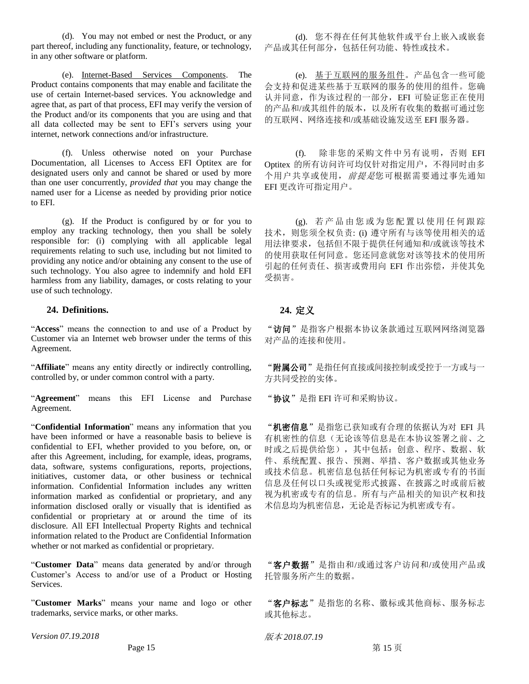(d). You may not embed or nest the Product, or any part thereof, including any functionality, feature, or technology, in any other software or platform.

(e). Internet-Based Services Components. The Product contains components that may enable and facilitate the use of certain Internet-based services. You acknowledge and agree that, as part of that process, EFI may verify the version of the Product and/or its components that you are using and that all data collected may be sent to EFI's servers using your internet, network connections and/or infrastructure.

(f). Unless otherwise noted on your Purchase Documentation, all Licenses to Access EFI Optitex are for designated users only and cannot be shared or used by more than one user concurrently, *provided that* you may change the named user for a License as needed by providing prior notice to EFI.

(g). If the Product is configured by or for you to employ any tracking technology, then you shall be solely responsible for: (i) complying with all applicable legal requirements relating to such use, including but not limited to providing any notice and/or obtaining any consent to the use of such technology. You also agree to indemnify and hold EFI harmless from any liability, damages, or costs relating to your use of such technology.

# **24. Definitions. 24.** 定义

"**Access**" means the connection to and use of a Product by Customer via an Internet web browser under the terms of this Agreement.

"**Affiliate**" means any entity directly or indirectly controlling, controlled by, or under common control with a party.

"**Agreement**" means this EFI License and Purchase Agreement.

"**Confidential Information**" means any information that you have been informed or have a reasonable basis to believe is confidential to EFI, whether provided to you before, on, or after this Agreement, including, for example, ideas, programs, data, software, systems configurations, reports, projections, initiatives, customer data, or other business or technical information. Confidential Information includes any written information marked as confidential or proprietary, and any information disclosed orally or visually that is identified as confidential or proprietary at or around the time of its disclosure. All EFI Intellectual Property Rights and technical information related to the Product are Confidential Information whether or not marked as confidential or proprietary.

"**Customer Data**" means data generated by and/or through Customer's Access to and/or use of a Product or Hosting Services.

"**Customer Marks**" means your name and logo or other trademarks, service marks, or other marks.

*Version 07.19.2018* 6. The contraction of the contraction of the contraction of the contraction of the contraction of the contraction of the contraction of the contraction of the contraction of the contraction of the con

(d). 您不得在任何其他软件或平台上嵌入或嵌套 产品或其任何部分,包括任何功能、特性或技术。

(e). 基于互联网的服务组件。产品包含一些可能 会支持和促进某些基于互联网的服务的使用的组件。您确 认并同意,作为该过程的一部分,EFI 可验证您正在使用 的产品和/或其组件的版本,以及所有收集的数据可通过您 的互联网、网络连接和/或基础设施发送至 EFI 服务器。

(f). 除非您的采购文件中另有说明,否则 EFI Optitex 的所有访问许可均仅针对指定用户,不得同时由多 个用户共享或使用, 前提是您可根据需要通过事先通知 EFI 更改许可指定用户。

(g). 若 产 品 由 您 或为 您 配 置 以使 用 任 何跟 踪 技术, 则您须全权负责: (i) 遵守所有与该等使用相关的适 用法律要求,包括但不限于提供任何通知和/或就该等技术 的使用获取任何同意。您还同意就您对该等技术的使用所 引起的任何责任、损害或费用向 EFI 作出弥偿,并使其免 受损害。

"访问"是指客户根据本协议条款通过互联网网络浏览器 对产品的连接和使用。

"附属公司"是指任何直接或间接控制或受控于一方或与一 方共同受控的实体。

"协议"是指 EFI 许可和采购协议。

"机密信息"是指您已获知或有合理的依据认为对 EFI 具 有机密性的信息(无论该等信息是在本协议签署之前、之 时或之后提供给您),其中包括:创意、程序、数据、软 件、系统配置、报告、预测、举措、客户数据或其他业务 或技术信息。机密信息包括任何标记为机密或专有的书面 信息及任何以口头或视觉形式披露、在披露之时或前后被 视为机密或专有的信息。所有与产品相关的知识产权和技 术信息均为机密信息,无论是否标记为机密或专有。

"客户数据"是指由和/或通过客户访问和/或使用产品或 托管服务所产生的数据。

"客户标志"是指您的名称、徽标或其他商标、服务标志 或其他标志。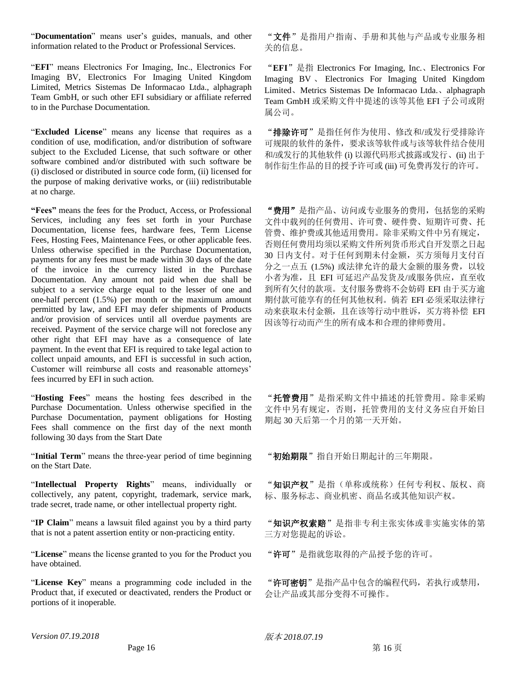"**Documentation**" means user's guides, manuals, and other information related to the Product or Professional Services.

"**EFI**" means Electronics For Imaging, Inc., Electronics For Imaging BV, Electronics For Imaging United Kingdom Limited, Metrics Sistemas De Informacao Ltda., alphagraph Team GmbH, or such other EFI subsidiary or affiliate referred to in the Purchase Documentation.

"**Excluded License**" means any license that requires as a condition of use, modification, and/or distribution of software subject to the Excluded License, that such software or other software combined and/or distributed with such software be (i) disclosed or distributed in source code form, (ii) licensed for the purpose of making derivative works, or (iii) redistributable at no charge.

**"Fees"** means the fees for the Product, Access, or Professional Services, including any fees set forth in your Purchase Documentation, license fees, hardware fees, Term License Fees, Hosting Fees, Maintenance Fees, or other applicable fees. Unless otherwise specified in the Purchase Documentation, payments for any fees must be made within 30 days of the date of the invoice in the currency listed in the Purchase Documentation. Any amount not paid when due shall be subject to a service charge equal to the lesser of one and one-half percent (1.5%) per month or the maximum amount permitted by law, and EFI may defer shipments of Products and/or provision of services until all overdue payments are received. Payment of the service charge will not foreclose any other right that EFI may have as a consequence of late payment. In the event that EFI is required to take legal action to collect unpaid amounts, and EFI is successful in such action, Customer will reimburse all costs and reasonable attorneys' fees incurred by EFI in such action.

"**Hosting Fees**" means the hosting fees described in the Purchase Documentation. Unless otherwise specified in the Purchase Documentation, payment obligations for Hosting Fees shall commence on the first day of the next month following 30 days from the Start Date

"**Initial Term**" means the three-year period of time beginning on the Start Date.

"**Intellectual Property Rights**" means, individually or collectively, any patent, copyright, trademark, service mark, trade secret, trade name, or other intellectual property right.

"IP Claim" means a lawsuit filed against you by a third party that is not a patent assertion entity or non-practicing entity.

"**License**" means the license granted to you for the Product you have obtained.

"**License Key**" means a programming code included in the Product that, if executed or deactivated, renders the Product or portions of it inoperable.

"文件"是指用户指南、手册和其他与产品或专业服务相 关的信息。

"**EFI**"是指 Electronics For Imaging, Inc.、Electronics For Imaging BV 、 Electronics For Imaging United Kingdom Limited、Metrics Sistemas De Informacao Ltda.、alphagraph Team GmbH 或采购文件中提述的该等其他 EFI 子公司或附 属公司。

"排除许可"是指任何作为使用、修改和/或发行受排除许 可规限的软件的条件,要求该等软件或与该等软件结合使用 和/或发行的其他软件 (i) 以源代码形式披露或发行、(ii) 出于 制作衍生作品的目的授予许可或 (iii) 可免费再发行的许可。

"费用"是指产品、访问或专业服务的费用,包括您的采购 文件中载列的任何费用、许可费、硬件费、短期许可费、托 管费、维护费或其他适用费用。除非采购文件中另有规定, 否则任何费用均须以采购文件所列货币形式自开发票之日起 30 日内支付。对于任何到期未付金额,买方须每月支付百 分之一点五 (1.5%) 或法律允许的最大金额的服务费,以较 小者为准, 且 EFI 可延迟产品发货及/或服务供应, 直至收 到所有欠付的款项。支付服务费将不会妨碍 EFI 由于买方逾 期付款可能享有的任何其他权利。倘若 EFI 必须采取法律行 动来获取未付金额,且在该等行动中胜诉,买方将补偿 EFI 因该等行动而产生的所有成本和合理的律师费用。

"托管费用"是指采购文件中描述的托管费用。除非采购 文件中另有规定,否则,托管费用的支付义务应自开始日 期起 30 天后第一个月的第一天开始。

"初始期限"指自开始日期起计的三年期限。

"知识产权"是指(单称或统称)任何专利权、版权、商 标、服务标志、商业机密、商品名或其他知识产权。

"知识产权索赔"是指非专利主张实体或非实施实体的第 三方对您提起的诉讼。

"许可"是指就您取得的产品授予您的许可。

"许可密钥"是指产品中包含的编程代码, 若执行或禁用, 会让产品或其部分变得不可操作。

*Version 07.19.2018* 6. The contraction of the contraction of the contraction of the contraction of the contraction of the contraction of the contraction of the contraction of the contraction of the contraction of the con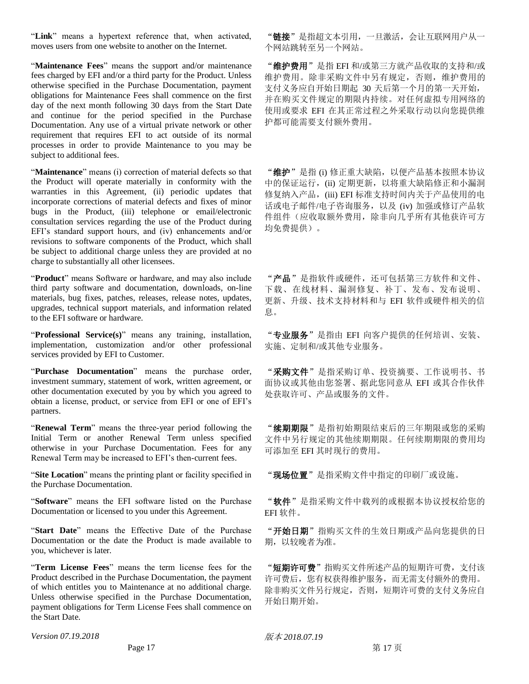"**Link**" means a hypertext reference that, when activated, moves users from one website to another on the Internet.

"**Maintenance Fees**" means the support and/or maintenance fees charged by EFI and/or a third party for the Product. Unless otherwise specified in the Purchase Documentation, payment obligations for Maintenance Fees shall commence on the first day of the next month following 30 days from the Start Date and continue for the period specified in the Purchase Documentation. Any use of a virtual private network or other requirement that requires EFI to act outside of its normal processes in order to provide Maintenance to you may be subject to additional fees.

"**Maintenance**" means (i) correction of material defects so that the Product will operate materially in conformity with the warranties in this Agreement, (ii) periodic updates that incorporate corrections of material defects and fixes of minor bugs in the Product, (iii) telephone or email/electronic consultation services regarding the use of the Product during EFI's standard support hours, and (iv) enhancements and/or revisions to software components of the Product, which shall be subject to additional charge unless they are provided at no charge to substantially all other licensees.

"**Product**" means Software or hardware, and may also include third party software and documentation, downloads, on-line materials, bug fixes, patches, releases, release notes, updates, upgrades, technical support materials, and information related to the EFI software or hardware.

"**Professional Service(s)**" means any training, installation, implementation, customization and/or other professional services provided by EFI to Customer.

"**Purchase Documentation**" means the purchase order, investment summary, statement of work, written agreement, or other documentation executed by you by which you agreed to obtain a license, product, or service from EFI or one of EFI's partners.

"**Renewal Term**" means the three-year period following the Initial Term or another Renewal Term unless specified otherwise in your Purchase Documentation. Fees for any Renewal Term may be increased to EFI's then-current fees.

"**Site Location**" means the printing plant or facility specified in the Purchase Documentation.

"**Software**" means the EFI software listed on the Purchase Documentation or licensed to you under this Agreement.

"**Start Date**" means the Effective Date of the Purchase Documentation or the date the Product is made available to you, whichever is later.

"**Term License Fees**" means the term license fees for the Product described in the Purchase Documentation, the payment of which entitles you to Maintenance at no additional charge. Unless otherwise specified in the Purchase Documentation, payment obligations for Term License Fees shall commence on the Start Date.

*Version 07.19.2018* 6. The contraction of the contraction of the contraction of the contraction of the contraction of the contraction of the contraction of the contraction of the contraction of the contraction of the con

"链接"是指超文本引用,一旦激活,会让互联网用户从一 个网站跳转至另一个网站。

"维护费用"是指 EFI 和/或第三方就产品收取的支持和/或 维护费用。除非采购文件中另有规定,否则,维护费用的 支付义务应自开始日期起 30 天后第一个月的第一天开始, 并在购买文件规定的期限内持续。对任何虚拟专用网络的 使用或要求 EFI 在其正常过程之外采取行动以向您提供维 护都可能需要支付额外费用。

"维护"是指 (i) 修正重大缺陷, 以便产品基本按照本协议 中的保证运行,(ii) 定期更新, 以将重大缺陷修正和小漏洞 修复纳入产品,(iii) EFI 标准支持时间内关于产品使用的电 话或电子邮件/电子咨询服务,以及 (iv) 加强或修订产品软 件组件(应收取额外费用,除非向几乎所有其他获许可方 均免费提供)。

"产品"是指软件或硬件,还可包括第三方软件和文件、 下载、在线材料、漏洞修复、补丁、发布、发布说明、 更新、升级、技术支持材料和与 EFI 软件或硬件相关的信 息。

"专业服务"是指由 EFI 向客户提供的任何培训、安装、 实施、定制和/或其他专业服务。

"采购文件"是指采购订单、投资摘要、工作说明书、书 面协议或其他由您签署、据此您同意从 EFI 或其合作伙伴 处获取许可、产品或服务的文件。

"续期期限"是指初始期限结束后的三年期限或您的采购 文件中另行规定的其他续期期限。任何续期期限的费用均 可添加至 EFI 其时现行的费用。

"现场位置"是指采购文件中指定的印刷厂或设施。

"软件"是指采购文件中载列的或根据本协议授权给您的 EFI 软件。

"开始日期"指购买文件的生效日期或产品向您提供的日 期,以较晚者为准。

"短期许可费"指购买文件所述产品的短期许可费,支付该 许可费后,您有权获得维护服务,而无需支付额外的费用。 除非购买文件另行规定,否则,短期许可费的支付义务应自 开始日期开始。